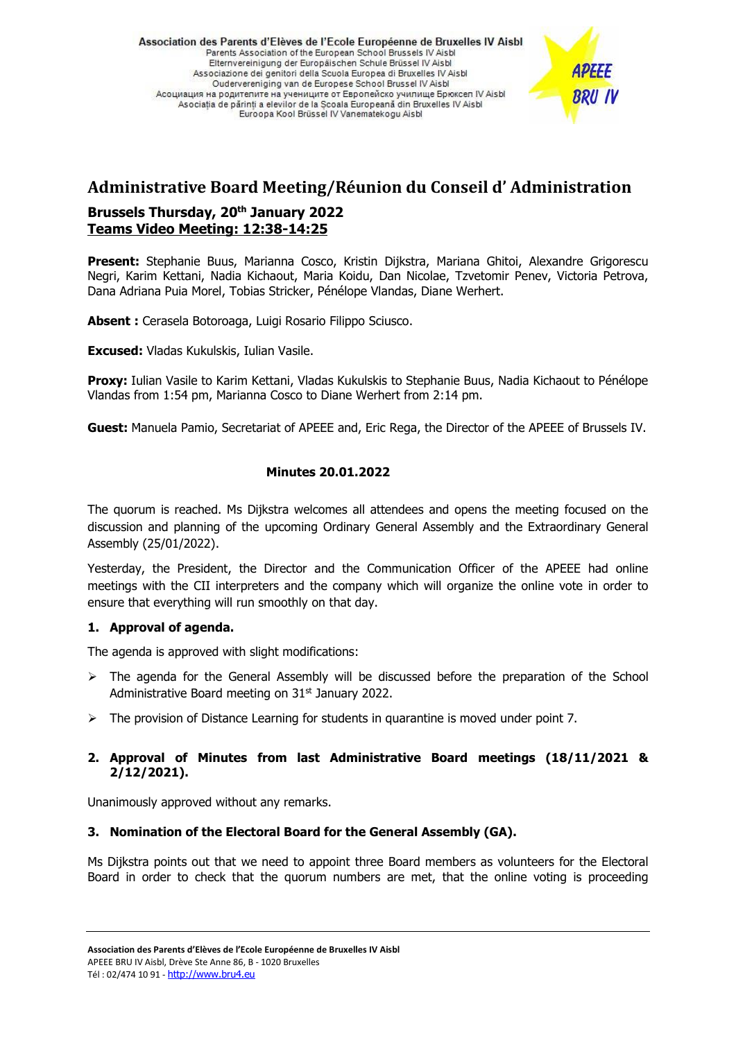Association des Parents d'Elèves de l'Ecole Européenne de Bruxelles IV Aisbl Parents Association of the European School Brussels IV Aisbi Elternvereinigung der Europäischen Schule Brüssel IV Aisbl Associazione dei genitori della Scuola Europea di Bruxelles IV Aisbl Oudervereniging van de Europese School Brussel IV Aisbl Асоциация на родителите на учениците от Европейско училище Брюксел IV Aisbl Asociatia de părinti a elevilor de la Scoala Europeană din Bruxelles IV Aisbl Euroopa Kool Brüssel IV Vanematekogu Aisbl

# **BRU IV**

## **Administrative Board Meeting/Réunion du Conseil d' Administration**

#### **Brussels Thursday, 20th January 2022 Teams Video Meeting: 12:38-14:25**

**Present:** Stephanie Buus, Marianna Cosco, Kristin Dijkstra, Mariana Ghitoi, Alexandre Grigorescu Negri, Karim Kettani, Nadia Kichaout, Maria Koidu, Dan Nicolae, Tzvetomir Penev, Victoria Petrova, Dana Adriana Puia Morel, Tobias Stricker, Pénélope Vlandas, Diane Werhert.

**Absent :** Cerasela Botoroaga, Luigi Rosario Filippo Sciusco.

**Excused:** Vladas Kukulskis, Iulian Vasile.

**Proxy:** Iulian Vasile to Karim Kettani, Vladas Kukulskis to Stephanie Buus, Nadia Kichaout to Pénélope Vlandas from 1:54 pm, Marianna Cosco to Diane Werhert from 2:14 pm.

**Guest:** Manuela Pamio, Secretariat of APEEE and, Eric Rega, the Director of the APEEE of Brussels IV.

### **Minutes 20.01.2022**

The quorum is reached. Ms Dijkstra welcomes all attendees and opens the meeting focused on the discussion and planning of the upcoming Ordinary General Assembly and the Extraordinary General Assembly (25/01/2022).

Yesterday, the President, the Director and the Communication Officer of the APEEE had online meetings with the CII interpreters and the company which will organize the online vote in order to ensure that everything will run smoothly on that day.

#### **1. Approval of agenda.**

The agenda is approved with slight modifications:

- $\triangleright$  The agenda for the General Assembly will be discussed before the preparation of the School Administrative Board meeting on 31<sup>st</sup> January 2022.
- $\triangleright$  The provision of Distance Learning for students in quarantine is moved under point 7.

### **2. Approval of Minutes from last Administrative Board meetings (18/11/2021 & 2/12/2021).**

Unanimously approved without any remarks.

#### **3. Nomination of the Electoral Board for the General Assembly (GA).**

Ms Dijkstra points out that we need to appoint three Board members as volunteers for the Electoral Board in order to check that the quorum numbers are met, that the online voting is proceeding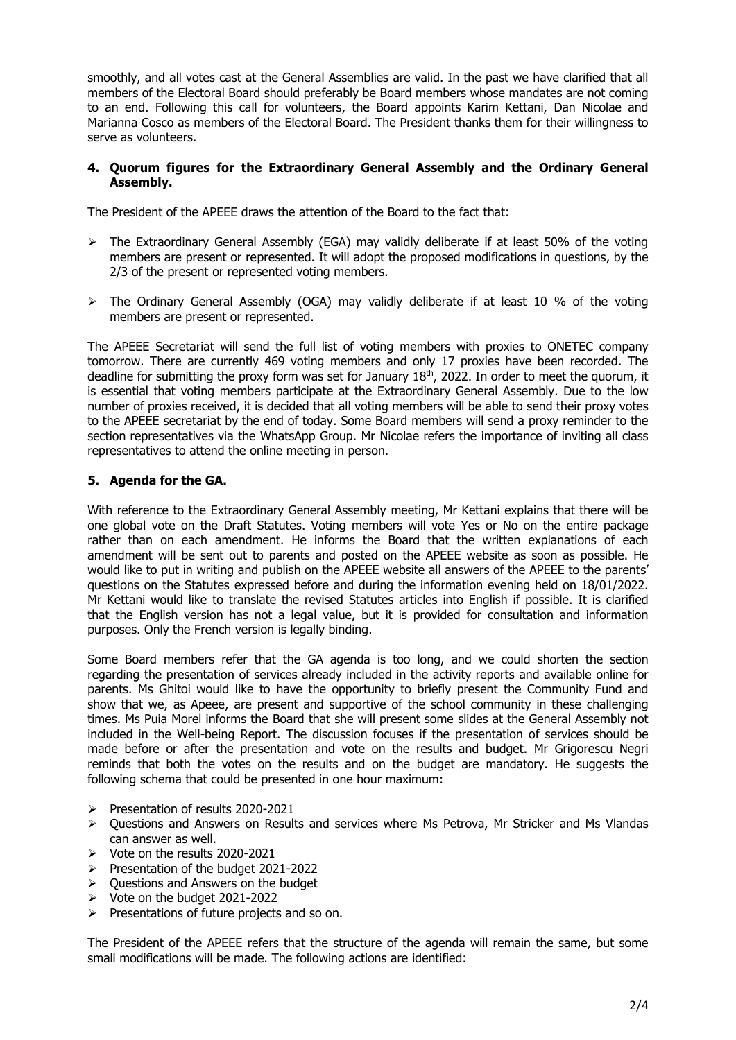smoothly, and all votes cast at the General Assemblies are valid. In the past we have clarified that all members of the Electoral Board should preferably be Board members whose mandates are not coming to an end. Following this call for volunteers, the Board appoints Karim Kettani, Dan Nicolae and Marianna Cosco as members of the Electoral Board. The President thanks them for their willingness to serve as volunteers.

#### **4. Quorum figures for the Extraordinary General Assembly and the Ordinary General Assembly.**

The President of the APEEE draws the attention of the Board to the fact that:

- $\triangleright$  The Extraordinary General Assembly (EGA) may validly deliberate if at least 50% of the voting members are present or represented. It will adopt the proposed modifications in questions, by the 2/3 of the present or represented voting members.
- $\triangleright$  The Ordinary General Assembly (OGA) may validly deliberate if at least 10 % of the voting members are present or represented.

The APEEE Secretariat will send the full list of voting members with proxies to ONETEC company tomorrow. There are currently 469 voting members and only 17 proxies have been recorded. The deadline for submitting the proxy form was set for January 18<sup>th</sup>, 2022. In order to meet the quorum, it is essential that voting members participate at the Extraordinary General Assembly. Due to the low number of proxies received, it is decided that all voting members will be able to send their proxy votes to the APEEE secretariat by the end of today. Some Board members will send a proxy reminder to the section representatives via the WhatsApp Group. Mr Nicolae refers the importance of inviting all class representatives to attend the online meeting in person.

#### **5. Agenda for the GA.**

With reference to the Extraordinary General Assembly meeting, Mr Kettani explains that there will be one global vote on the Draft Statutes. Voting members will vote Yes or No on the entire package rather than on each amendment. He informs the Board that the written explanations of each amendment will be sent out to parents and posted on the APEEE website as soon as possible. He would like to put in writing and publish on the APEEE website all answers of the APEEE to the parents' questions on the Statutes expressed before and during the information evening held on 18/01/2022. Mr Kettani would like to translate the revised Statutes articles into English if possible. It is clarified that the English version has not a legal value, but it is provided for consultation and information purposes. Only the French version is legally binding.

Some Board members refer that the GA agenda is too long, and we could shorten the section regarding the presentation of services already included in the activity reports and available online for parents. Ms Ghitoi would like to have the opportunity to briefly present the Community Fund and show that we, as Apeee, are present and supportive of the school community in these challenging times. Ms Puia Morel informs the Board that she will present some slides at the General Assembly not included in the Well-being Report. The discussion focuses if the presentation of services should be made before or after the presentation and vote on the results and budget. Mr Grigorescu Negri reminds that both the votes on the results and on the budget are mandatory. He suggests the following schema that could be presented in one hour maximum:

- ➢ Presentation of results 2020-2021
- ➢ Questions and Answers on Results and services where Ms Petrova, Mr Stricker and Ms Vlandas can answer as well.
- ➢ Vote on the results 2020-2021
- ➢ Presentation of the budget 2021-2022
- ➢ Questions and Answers on the budget
- ➢ Vote on the budget 2021-2022
- ➢ Presentations of future projects and so on.

The President of the APEEE refers that the structure of the agenda will remain the same, but some small modifications will be made. The following actions are identified: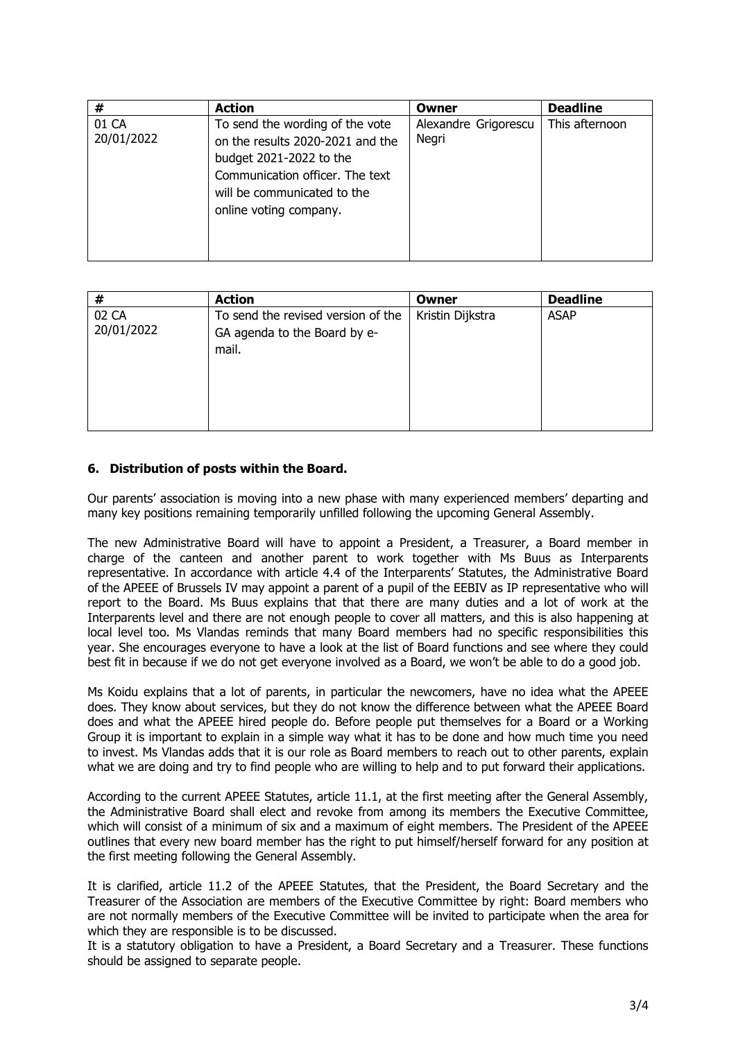| #                   | <b>Action</b>                                                                                                                                                                              | Owner                         | <b>Deadline</b> |
|---------------------|--------------------------------------------------------------------------------------------------------------------------------------------------------------------------------------------|-------------------------------|-----------------|
| 01 CA<br>20/01/2022 | To send the wording of the vote<br>on the results 2020-2021 and the<br>budget 2021-2022 to the<br>Communication officer. The text<br>will be communicated to the<br>online voting company. | Alexandre Grigorescu<br>Negri | This afternoon  |

| #                   | <b>Action</b>                                                               | Owner            | <b>Deadline</b> |
|---------------------|-----------------------------------------------------------------------------|------------------|-----------------|
| 02 CA<br>20/01/2022 | To send the revised version of the<br>GA agenda to the Board by e-<br>mail. | Kristin Dijkstra | <b>ASAP</b>     |

#### **6. Distribution of posts within the Board.**

Our parents' association is moving into a new phase with many experienced members' departing and many key positions remaining temporarily unfilled following the upcoming General Assembly.

The new Administrative Board will have to appoint a President, a Treasurer, a Board member in charge of the canteen and another parent to work together with Ms Buus as Interparents representative. In accordance with article 4.4 of the Interparents' Statutes, the Administrative Board of the APEEE of Brussels IV may appoint a parent of a pupil of the EEBIV as IP representative who will report to the Board. Ms Buus explains that that there are many duties and a lot of work at the Interparents level and there are not enough people to cover all matters, and this is also happening at local level too. Ms Vlandas reminds that many Board members had no specific responsibilities this year. She encourages everyone to have a look at the list of Board functions and see where they could best fit in because if we do not get everyone involved as a Board, we won't be able to do a good job.

Ms Koidu explains that a lot of parents, in particular the newcomers, have no idea what the APEEE does. They know about services, but they do not know the difference between what the APEEE Board does and what the APEEE hired people do. Before people put themselves for a Board or a Working Group it is important to explain in a simple way what it has to be done and how much time you need to invest. Ms Vlandas adds that it is our role as Board members to reach out to other parents, explain what we are doing and try to find people who are willing to help and to put forward their applications.

According to the current APEEE Statutes, article 11.1, at the first meeting after the General Assembly, the Administrative Board shall elect and revoke from among its members the Executive Committee, which will consist of a minimum of six and a maximum of eight members. The President of the APEEE outlines that every new board member has the right to put himself/herself forward for any position at the first meeting following the General Assembly.

It is clarified, article 11.2 of the APEEE Statutes, that the President, the Board Secretary and the Treasurer of the Association are members of the Executive Committee by right: Board members who are not normally members of the Executive Committee will be invited to participate when the area for which they are responsible is to be discussed.

It is a statutory obligation to have a President, a Board Secretary and a Treasurer. These functions should be assigned to separate people.